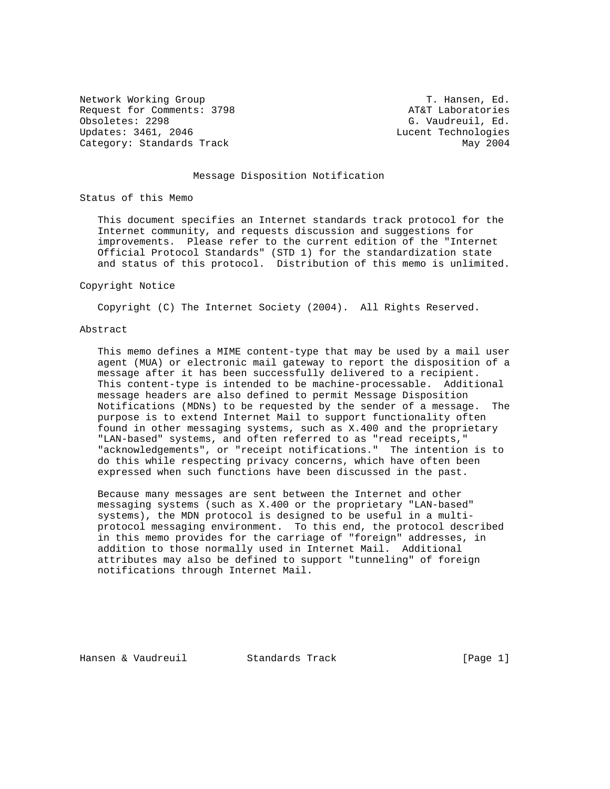Network Working Group T. Hansen, Ed. Request for Comments: 3798 AT&T Laboratories<br>
Obsoletes: 2298 AT&T G. Vaudreuil, Ed. Updates: 3461, 2046 **Lucent Technologies** Category: Standards Track May 2004

G. Vaudreuil, Ed.

## Message Disposition Notification

Status of this Memo

 This document specifies an Internet standards track protocol for the Internet community, and requests discussion and suggestions for improvements. Please refer to the current edition of the "Internet Official Protocol Standards" (STD 1) for the standardization state and status of this protocol. Distribution of this memo is unlimited.

#### Copyright Notice

Copyright (C) The Internet Society (2004). All Rights Reserved.

#### Abstract

 This memo defines a MIME content-type that may be used by a mail user agent (MUA) or electronic mail gateway to report the disposition of a message after it has been successfully delivered to a recipient. This content-type is intended to be machine-processable. Additional message headers are also defined to permit Message Disposition Notifications (MDNs) to be requested by the sender of a message. The purpose is to extend Internet Mail to support functionality often found in other messaging systems, such as X.400 and the proprietary "LAN-based" systems, and often referred to as "read receipts," "acknowledgements", or "receipt notifications." The intention is to do this while respecting privacy concerns, which have often been expressed when such functions have been discussed in the past.

 Because many messages are sent between the Internet and other messaging systems (such as X.400 or the proprietary "LAN-based" systems), the MDN protocol is designed to be useful in a multi protocol messaging environment. To this end, the protocol described in this memo provides for the carriage of "foreign" addresses, in addition to those normally used in Internet Mail. Additional attributes may also be defined to support "tunneling" of foreign notifications through Internet Mail.

Hansen & Vaudreuil Standards Track [Page 1]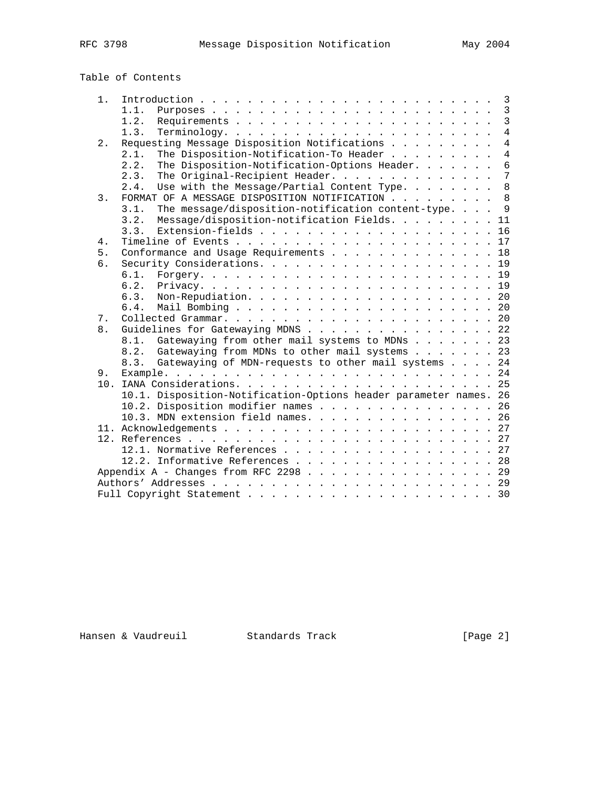| $1$ . |                                                                   | $\overline{3}$  |
|-------|-------------------------------------------------------------------|-----------------|
|       | 1.1.                                                              | $\mathbf{3}$    |
|       | 1.2.                                                              | $\overline{3}$  |
|       | 1.3.<br>$Terminology.$                                            | $\overline{4}$  |
| $2$ . | Requesting Message Disposition Notifications                      | $\overline{4}$  |
|       | 2.1.<br>The Disposition-Notification-To Header                    | $\overline{4}$  |
|       | The Disposition-Notification-Options Header.<br>2.2.              | $6\overline{6}$ |
|       | The Original-Recipient Header.<br>2.3.                            | $\overline{7}$  |
|       | Use with the Message/Partial Content Type.<br>2.4.                | 8               |
| 3.    | FORMAT OF A MESSAGE DISPOSITION NOTIFICATION 8                    |                 |
|       | The message/disposition-notification content-type.<br>3.1.        | $\overline{9}$  |
|       | Message/disposition-notification Fields. 11<br>3.2.               |                 |
|       | 3.3.                                                              |                 |
| 4.    |                                                                   |                 |
| 5.    | Conformance and Usage Requirements 18                             |                 |
| б.    |                                                                   |                 |
|       | 6.1.                                                              |                 |
|       | 6.2.                                                              |                 |
|       | 6.3.                                                              |                 |
|       | 6.4.                                                              |                 |
| 7.    |                                                                   |                 |
| 8.    | Guidelines for Gatewaying MDNS 22                                 |                 |
|       | 8.1. Gatewaying from other mail systems to MDNs 23                |                 |
|       | 8.2. Gatewaying from MDNs to other mail systems 23                |                 |
|       | 8.3. Gatewaying of MDN-requests to other mail systems 24          |                 |
| 9.    |                                                                   |                 |
| 10.   |                                                                   |                 |
|       | 10.1. Disposition-Notification-Options header parameter names. 26 |                 |
|       | 10.2. Disposition modifier names 26                               |                 |
|       | 10.3. MDN extension field names. 26                               |                 |
|       |                                                                   |                 |
|       |                                                                   |                 |
|       | 12.1. Normative References 27                                     |                 |
|       |                                                                   |                 |
|       | 12.2. Informative References 28                                   |                 |
|       | Appendix A - Changes from RFC 2298 29                             |                 |
|       |                                                                   |                 |
|       |                                                                   |                 |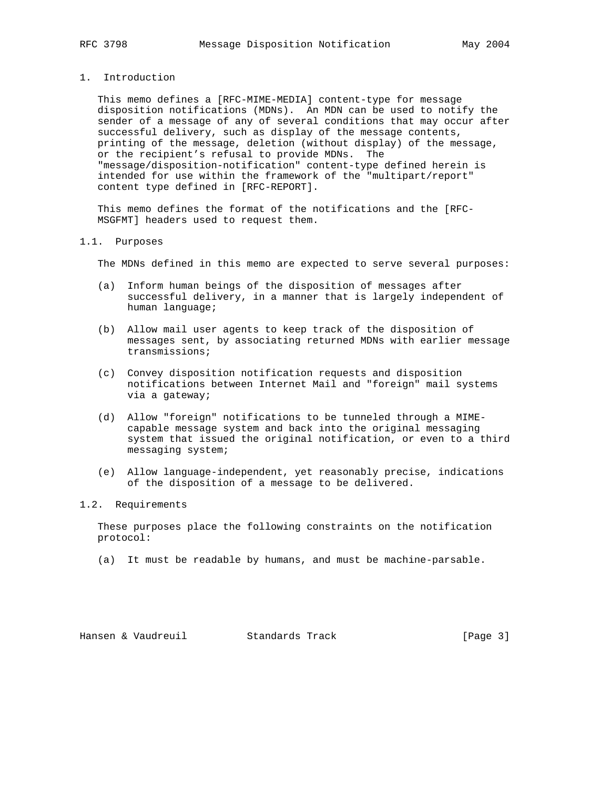## 1. Introduction

 This memo defines a [RFC-MIME-MEDIA] content-type for message disposition notifications (MDNs). An MDN can be used to notify the sender of a message of any of several conditions that may occur after successful delivery, such as display of the message contents, printing of the message, deletion (without display) of the message, or the recipient's refusal to provide MDNs. The "message/disposition-notification" content-type defined herein is intended for use within the framework of the "multipart/report" content type defined in [RFC-REPORT].

 This memo defines the format of the notifications and the [RFC- MSGFMT] headers used to request them.

## 1.1. Purposes

The MDNs defined in this memo are expected to serve several purposes:

- (a) Inform human beings of the disposition of messages after successful delivery, in a manner that is largely independent of human language;
- (b) Allow mail user agents to keep track of the disposition of messages sent, by associating returned MDNs with earlier message transmissions;
- (c) Convey disposition notification requests and disposition notifications between Internet Mail and "foreign" mail systems via a gateway;
- (d) Allow "foreign" notifications to be tunneled through a MIME capable message system and back into the original messaging system that issued the original notification, or even to a third messaging system;
- (e) Allow language-independent, yet reasonably precise, indications of the disposition of a message to be delivered.

# 1.2. Requirements

 These purposes place the following constraints on the notification protocol:

(a) It must be readable by humans, and must be machine-parsable.

Hansen & Vaudreuil Standards Track [Page 3]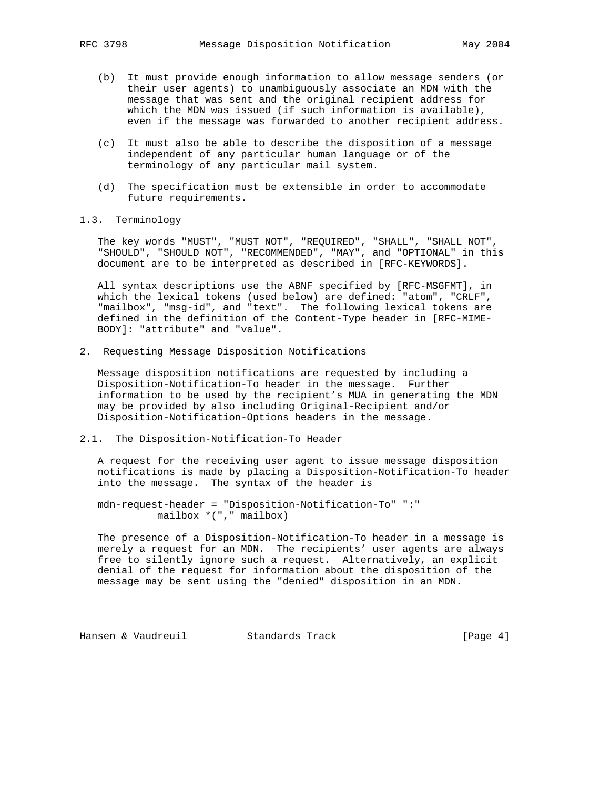- (b) It must provide enough information to allow message senders (or their user agents) to unambiguously associate an MDN with the message that was sent and the original recipient address for which the MDN was issued (if such information is available), even if the message was forwarded to another recipient address.
- (c) It must also be able to describe the disposition of a message independent of any particular human language or of the terminology of any particular mail system.
- (d) The specification must be extensible in order to accommodate future requirements.
- 1.3. Terminology

 The key words "MUST", "MUST NOT", "REQUIRED", "SHALL", "SHALL NOT", "SHOULD", "SHOULD NOT", "RECOMMENDED", "MAY", and "OPTIONAL" in this document are to be interpreted as described in [RFC-KEYWORDS].

 All syntax descriptions use the ABNF specified by [RFC-MSGFMT], in which the lexical tokens (used below) are defined: "atom", "CRLF", "mailbox", "msg-id", and "text". The following lexical tokens are defined in the definition of the Content-Type header in [RFC-MIME- BODY]: "attribute" and "value".

2. Requesting Message Disposition Notifications

 Message disposition notifications are requested by including a Disposition-Notification-To header in the message. Further information to be used by the recipient's MUA in generating the MDN may be provided by also including Original-Recipient and/or Disposition-Notification-Options headers in the message.

2.1. The Disposition-Notification-To Header

 A request for the receiving user agent to issue message disposition notifications is made by placing a Disposition-Notification-To header into the message. The syntax of the header is

 mdn-request-header = "Disposition-Notification-To" ":" mailbox \*("," mailbox)

 The presence of a Disposition-Notification-To header in a message is merely a request for an MDN. The recipients' user agents are always free to silently ignore such a request. Alternatively, an explicit denial of the request for information about the disposition of the message may be sent using the "denied" disposition in an MDN.

Hansen & Vaudreuil Standards Track [Page 4]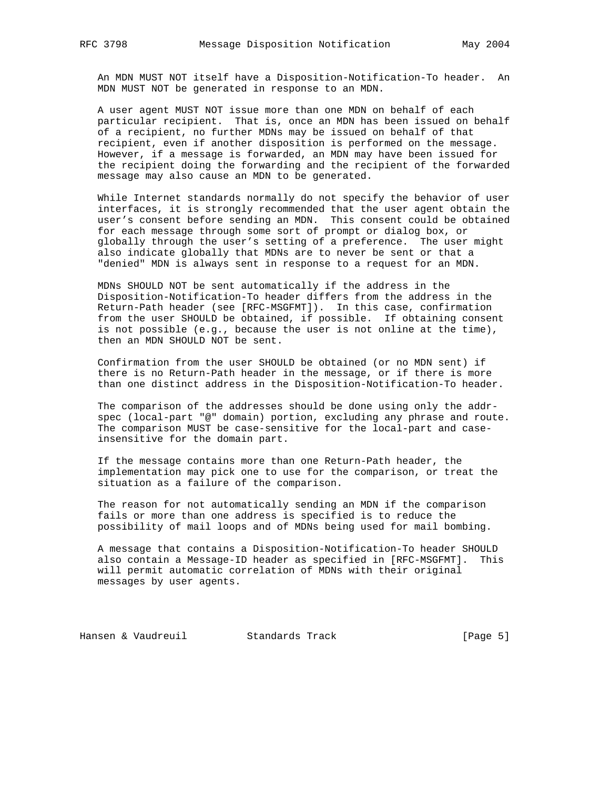An MDN MUST NOT itself have a Disposition-Notification-To header. An MDN MUST NOT be generated in response to an MDN.

 A user agent MUST NOT issue more than one MDN on behalf of each particular recipient. That is, once an MDN has been issued on behalf of a recipient, no further MDNs may be issued on behalf of that recipient, even if another disposition is performed on the message. However, if a message is forwarded, an MDN may have been issued for the recipient doing the forwarding and the recipient of the forwarded message may also cause an MDN to be generated.

 While Internet standards normally do not specify the behavior of user interfaces, it is strongly recommended that the user agent obtain the user's consent before sending an MDN. This consent could be obtained for each message through some sort of prompt or dialog box, or globally through the user's setting of a preference. The user might also indicate globally that MDNs are to never be sent or that a "denied" MDN is always sent in response to a request for an MDN.

 MDNs SHOULD NOT be sent automatically if the address in the Disposition-Notification-To header differs from the address in the Return-Path header (see [RFC-MSGFMT]). In this case, confirmation from the user SHOULD be obtained, if possible. If obtaining consent is not possible (e.g., because the user is not online at the time), then an MDN SHOULD NOT be sent.

 Confirmation from the user SHOULD be obtained (or no MDN sent) if there is no Return-Path header in the message, or if there is more than one distinct address in the Disposition-Notification-To header.

 The comparison of the addresses should be done using only the addr spec (local-part "@" domain) portion, excluding any phrase and route. The comparison MUST be case-sensitive for the local-part and case insensitive for the domain part.

 If the message contains more than one Return-Path header, the implementation may pick one to use for the comparison, or treat the situation as a failure of the comparison.

 The reason for not automatically sending an MDN if the comparison fails or more than one address is specified is to reduce the possibility of mail loops and of MDNs being used for mail bombing.

 A message that contains a Disposition-Notification-To header SHOULD also contain a Message-ID header as specified in [RFC-MSGFMT]. This will permit automatic correlation of MDNs with their original messages by user agents.

Hansen & Vaudreuil Standards Track [Page 5]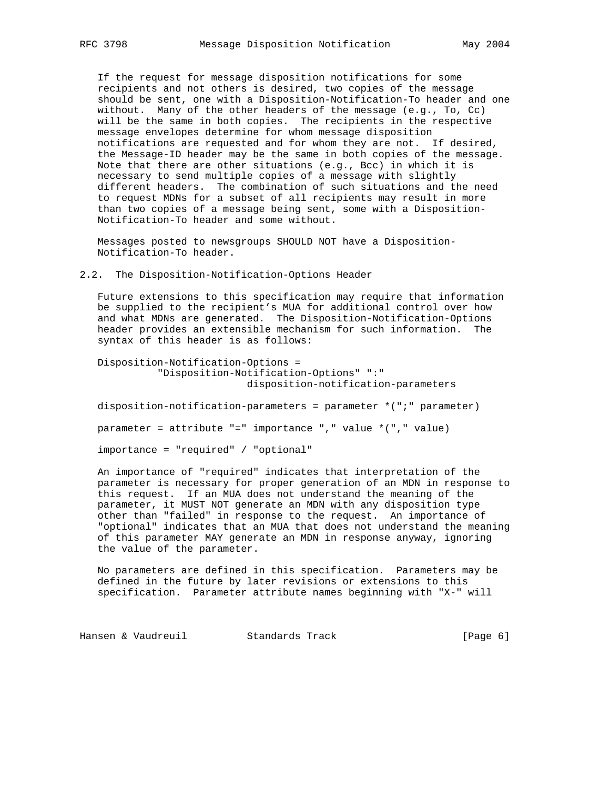If the request for message disposition notifications for some recipients and not others is desired, two copies of the message should be sent, one with a Disposition-Notification-To header and one without. Many of the other headers of the message (e.g., To, Cc) will be the same in both copies. The recipients in the respective message envelopes determine for whom message disposition notifications are requested and for whom they are not. If desired, the Message-ID header may be the same in both copies of the message. Note that there are other situations (e.g., Bcc) in which it is necessary to send multiple copies of a message with slightly different headers. The combination of such situations and the need to request MDNs for a subset of all recipients may result in more than two copies of a message being sent, some with a Disposition- Notification-To header and some without.

 Messages posted to newsgroups SHOULD NOT have a Disposition- Notification-To header.

2.2. The Disposition-Notification-Options Header

 Future extensions to this specification may require that information be supplied to the recipient's MUA for additional control over how and what MDNs are generated. The Disposition-Notification-Options header provides an extensible mechanism for such information. The syntax of this header is as follows:

```
 Disposition-Notification-Options =
           "Disposition-Notification-Options" ":"
                          disposition-notification-parameters
```
disposition-notification-parameters = parameter \*(";" parameter)

parameter = attribute "=" importance "," value \*("," value)

```
 importance = "required" / "optional"
```
 An importance of "required" indicates that interpretation of the parameter is necessary for proper generation of an MDN in response to this request. If an MUA does not understand the meaning of the parameter, it MUST NOT generate an MDN with any disposition type other than "failed" in response to the request. An importance of "optional" indicates that an MUA that does not understand the meaning of this parameter MAY generate an MDN in response anyway, ignoring the value of the parameter.

 No parameters are defined in this specification. Parameters may be defined in the future by later revisions or extensions to this specification. Parameter attribute names beginning with "X-" will

Hansen & Vaudreuil Standards Track [Page 6]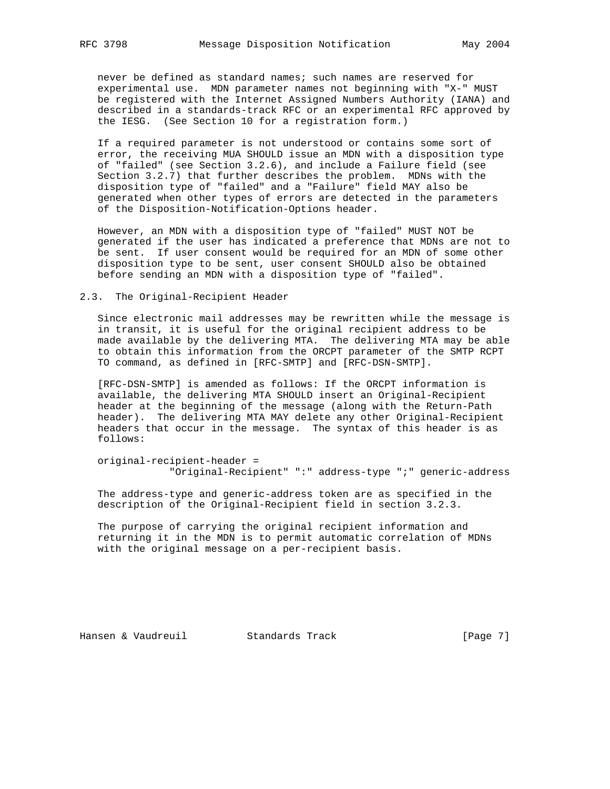never be defined as standard names; such names are reserved for experimental use. MDN parameter names not beginning with "X-" MUST be registered with the Internet Assigned Numbers Authority (IANA) and described in a standards-track RFC or an experimental RFC approved by the IESG. (See Section 10 for a registration form.)

 If a required parameter is not understood or contains some sort of error, the receiving MUA SHOULD issue an MDN with a disposition type of "failed" (see Section 3.2.6), and include a Failure field (see Section 3.2.7) that further describes the problem. MDNs with the disposition type of "failed" and a "Failure" field MAY also be generated when other types of errors are detected in the parameters of the Disposition-Notification-Options header.

 However, an MDN with a disposition type of "failed" MUST NOT be generated if the user has indicated a preference that MDNs are not to be sent. If user consent would be required for an MDN of some other disposition type to be sent, user consent SHOULD also be obtained before sending an MDN with a disposition type of "failed".

#### 2.3. The Original-Recipient Header

 Since electronic mail addresses may be rewritten while the message is in transit, it is useful for the original recipient address to be made available by the delivering MTA. The delivering MTA may be able to obtain this information from the ORCPT parameter of the SMTP RCPT TO command, as defined in [RFC-SMTP] and [RFC-DSN-SMTP].

 [RFC-DSN-SMTP] is amended as follows: If the ORCPT information is available, the delivering MTA SHOULD insert an Original-Recipient header at the beginning of the message (along with the Return-Path header). The delivering MTA MAY delete any other Original-Recipient headers that occur in the message. The syntax of this header is as follows:

 original-recipient-header = "Original-Recipient" ":" address-type ";" generic-address

 The address-type and generic-address token are as specified in the description of the Original-Recipient field in section 3.2.3.

 The purpose of carrying the original recipient information and returning it in the MDN is to permit automatic correlation of MDNs with the original message on a per-recipient basis.

Hansen & Vaudreuil Standards Track [Page 7]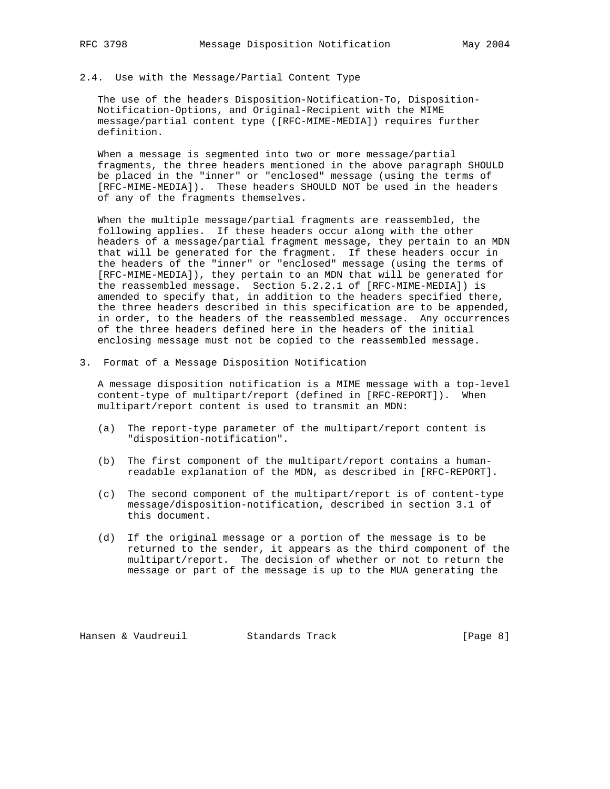## 2.4. Use with the Message/Partial Content Type

 The use of the headers Disposition-Notification-To, Disposition- Notification-Options, and Original-Recipient with the MIME message/partial content type ([RFC-MIME-MEDIA]) requires further definition.

 When a message is segmented into two or more message/partial fragments, the three headers mentioned in the above paragraph SHOULD be placed in the "inner" or "enclosed" message (using the terms of [RFC-MIME-MEDIA]). These headers SHOULD NOT be used in the headers of any of the fragments themselves.

 When the multiple message/partial fragments are reassembled, the following applies. If these headers occur along with the other headers of a message/partial fragment message, they pertain to an MDN that will be generated for the fragment. If these headers occur in the headers of the "inner" or "enclosed" message (using the terms of [RFC-MIME-MEDIA]), they pertain to an MDN that will be generated for the reassembled message. Section 5.2.2.1 of [RFC-MIME-MEDIA]) is amended to specify that, in addition to the headers specified there, the three headers described in this specification are to be appended, in order, to the headers of the reassembled message. Any occurrences of the three headers defined here in the headers of the initial enclosing message must not be copied to the reassembled message.

3. Format of a Message Disposition Notification

 A message disposition notification is a MIME message with a top-level content-type of multipart/report (defined in [RFC-REPORT]). When multipart/report content is used to transmit an MDN:

- (a) The report-type parameter of the multipart/report content is "disposition-notification".
- (b) The first component of the multipart/report contains a human readable explanation of the MDN, as described in [RFC-REPORT].
- (c) The second component of the multipart/report is of content-type message/disposition-notification, described in section 3.1 of this document.
- (d) If the original message or a portion of the message is to be returned to the sender, it appears as the third component of the multipart/report. The decision of whether or not to return the message or part of the message is up to the MUA generating the

Hansen & Vaudreuil Standards Track [Page 8]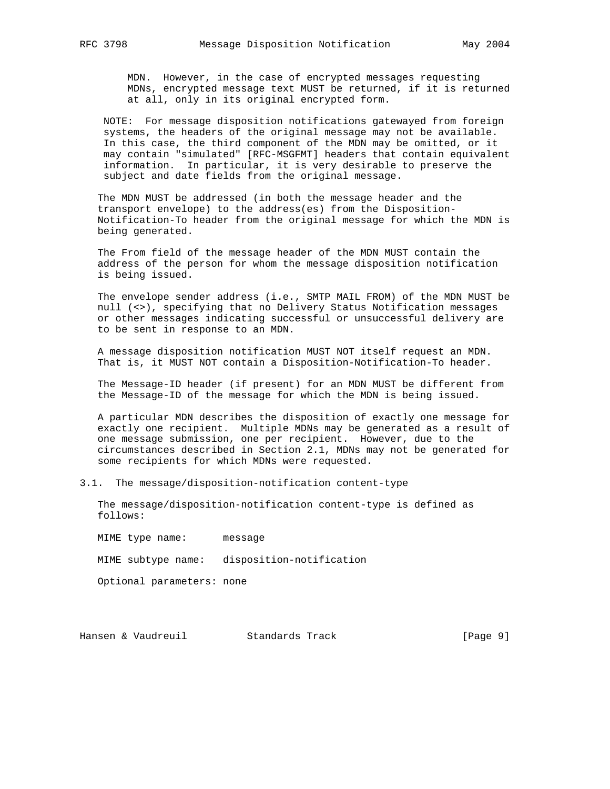MDN. However, in the case of encrypted messages requesting MDNs, encrypted message text MUST be returned, if it is returned at all, only in its original encrypted form.

 NOTE: For message disposition notifications gatewayed from foreign systems, the headers of the original message may not be available. In this case, the third component of the MDN may be omitted, or it may contain "simulated" [RFC-MSGFMT] headers that contain equivalent information. In particular, it is very desirable to preserve the subject and date fields from the original message.

 The MDN MUST be addressed (in both the message header and the transport envelope) to the address(es) from the Disposition- Notification-To header from the original message for which the MDN is being generated.

 The From field of the message header of the MDN MUST contain the address of the person for whom the message disposition notification is being issued.

 The envelope sender address (i.e., SMTP MAIL FROM) of the MDN MUST be null (<>), specifying that no Delivery Status Notification messages or other messages indicating successful or unsuccessful delivery are to be sent in response to an MDN.

 A message disposition notification MUST NOT itself request an MDN. That is, it MUST NOT contain a Disposition-Notification-To header.

 The Message-ID header (if present) for an MDN MUST be different from the Message-ID of the message for which the MDN is being issued.

 A particular MDN describes the disposition of exactly one message for exactly one recipient. Multiple MDNs may be generated as a result of one message submission, one per recipient. However, due to the circumstances described in Section 2.1, MDNs may not be generated for some recipients for which MDNs were requested.

3.1. The message/disposition-notification content-type

 The message/disposition-notification content-type is defined as follows:

 MIME type name: message MIME subtype name: disposition-notification Optional parameters: none

Hansen & Vaudreuil Standards Track [Page 9]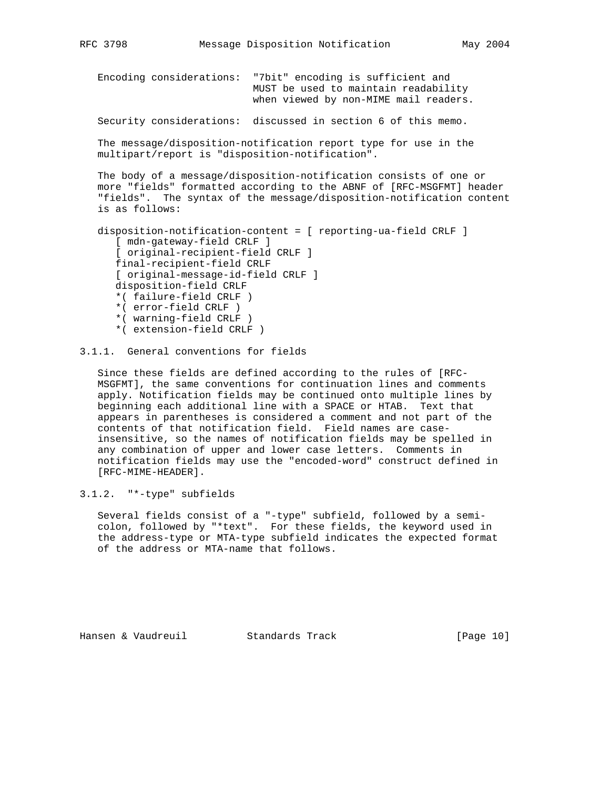Encoding considerations: "7bit" encoding is sufficient and MUST be used to maintain readability when viewed by non-MIME mail readers. Security considerations: discussed in section 6 of this memo.

 The message/disposition-notification report type for use in the multipart/report is "disposition-notification".

 The body of a message/disposition-notification consists of one or more "fields" formatted according to the ABNF of [RFC-MSGFMT] header "fields". The syntax of the message/disposition-notification content is as follows:

```
 disposition-notification-content = [ reporting-ua-field CRLF ]
    [ mdn-gateway-field CRLF ]
    [ original-recipient-field CRLF ]
    final-recipient-field CRLF
    [ original-message-id-field CRLF ]
    disposition-field CRLF
    *( failure-field CRLF )
    *( error-field CRLF )
    *( warning-field CRLF )
    *( extension-field CRLF )
```
# 3.1.1. General conventions for fields

 Since these fields are defined according to the rules of [RFC- MSGFMT], the same conventions for continuation lines and comments apply. Notification fields may be continued onto multiple lines by beginning each additional line with a SPACE or HTAB. Text that appears in parentheses is considered a comment and not part of the contents of that notification field. Field names are case insensitive, so the names of notification fields may be spelled in any combination of upper and lower case letters. Comments in notification fields may use the "encoded-word" construct defined in [RFC-MIME-HEADER].

# 3.1.2. "\*-type" subfields

 Several fields consist of a "-type" subfield, followed by a semi colon, followed by "\*text". For these fields, the keyword used in the address-type or MTA-type subfield indicates the expected format of the address or MTA-name that follows.

Hansen & Vaudreuil Standards Track [Page 10]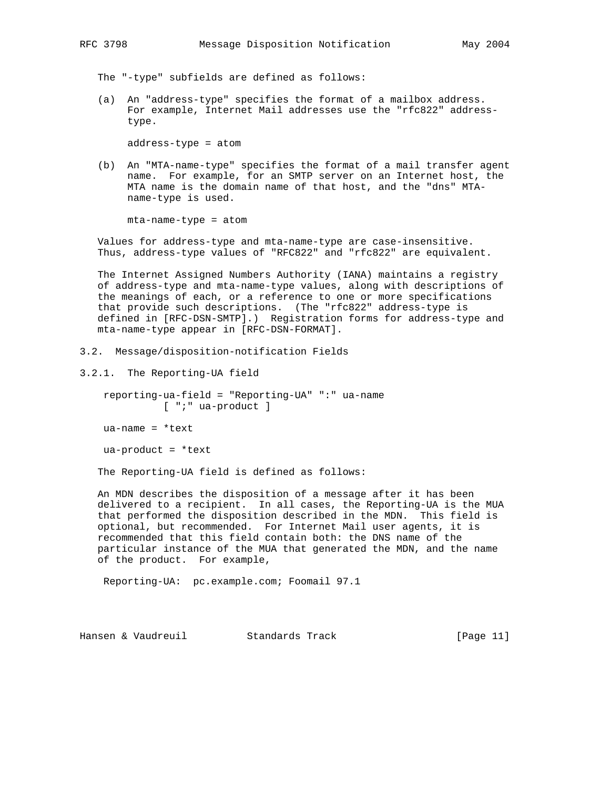The "-type" subfields are defined as follows:

 (a) An "address-type" specifies the format of a mailbox address. For example, Internet Mail addresses use the "rfc822" address type.

address-type = atom

 (b) An "MTA-name-type" specifies the format of a mail transfer agent name. For example, for an SMTP server on an Internet host, the MTA name is the domain name of that host, and the "dns" MTA name-type is used.

mta-name-type = atom

 Values for address-type and mta-name-type are case-insensitive. Thus, address-type values of "RFC822" and "rfc822" are equivalent.

 The Internet Assigned Numbers Authority (IANA) maintains a registry of address-type and mta-name-type values, along with descriptions of the meanings of each, or a reference to one or more specifications that provide such descriptions. (The "rfc822" address-type is defined in [RFC-DSN-SMTP].) Registration forms for address-type and mta-name-type appear in [RFC-DSN-FORMAT].

- 3.2. Message/disposition-notification Fields
- 3.2.1. The Reporting-UA field

 reporting-ua-field = "Reporting-UA" ":" ua-name [ ";" ua-product ]

ua-name = \*text

 $ua-product = *text$ 

The Reporting-UA field is defined as follows:

 An MDN describes the disposition of a message after it has been delivered to a recipient. In all cases, the Reporting-UA is the MUA that performed the disposition described in the MDN. This field is optional, but recommended. For Internet Mail user agents, it is recommended that this field contain both: the DNS name of the particular instance of the MUA that generated the MDN, and the name of the product. For example,

Reporting-UA: pc.example.com; Foomail 97.1

Hansen & Vaudreuil Standards Track [Page 11]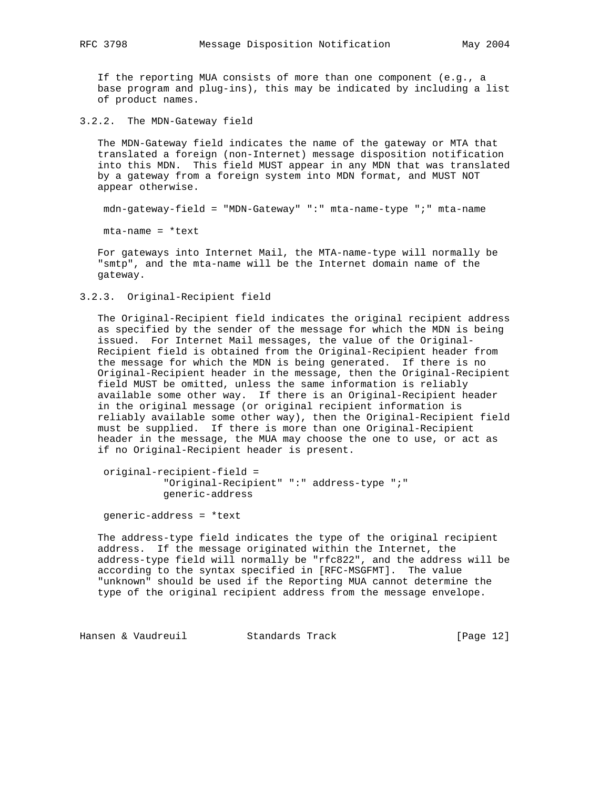If the reporting MUA consists of more than one component (e.g., a base program and plug-ins), this may be indicated by including a list of product names.

3.2.2. The MDN-Gateway field

 The MDN-Gateway field indicates the name of the gateway or MTA that translated a foreign (non-Internet) message disposition notification into this MDN. This field MUST appear in any MDN that was translated by a gateway from a foreign system into MDN format, and MUST NOT appear otherwise.

mdn-gateway-field = "MDN-Gateway" ":" mta-name-type ";" mta-name

mta-name = \*text

 For gateways into Internet Mail, the MTA-name-type will normally be "smtp", and the mta-name will be the Internet domain name of the gateway.

3.2.3. Original-Recipient field

 The Original-Recipient field indicates the original recipient address as specified by the sender of the message for which the MDN is being issued. For Internet Mail messages, the value of the Original- Recipient field is obtained from the Original-Recipient header from the message for which the MDN is being generated. If there is no Original-Recipient header in the message, then the Original-Recipient field MUST be omitted, unless the same information is reliably available some other way. If there is an Original-Recipient header in the original message (or original recipient information is reliably available some other way), then the Original-Recipient field must be supplied. If there is more than one Original-Recipient header in the message, the MUA may choose the one to use, or act as if no Original-Recipient header is present.

```
 original-recipient-field =
           "Original-Recipient" ":" address-type ";"
           generic-address
```
generic-address = \*text

 The address-type field indicates the type of the original recipient address. If the message originated within the Internet, the address-type field will normally be "rfc822", and the address will be according to the syntax specified in [RFC-MSGFMT]. The value "unknown" should be used if the Reporting MUA cannot determine the type of the original recipient address from the message envelope.

Hansen & Vaudreuil **Standards Track** [Page 12]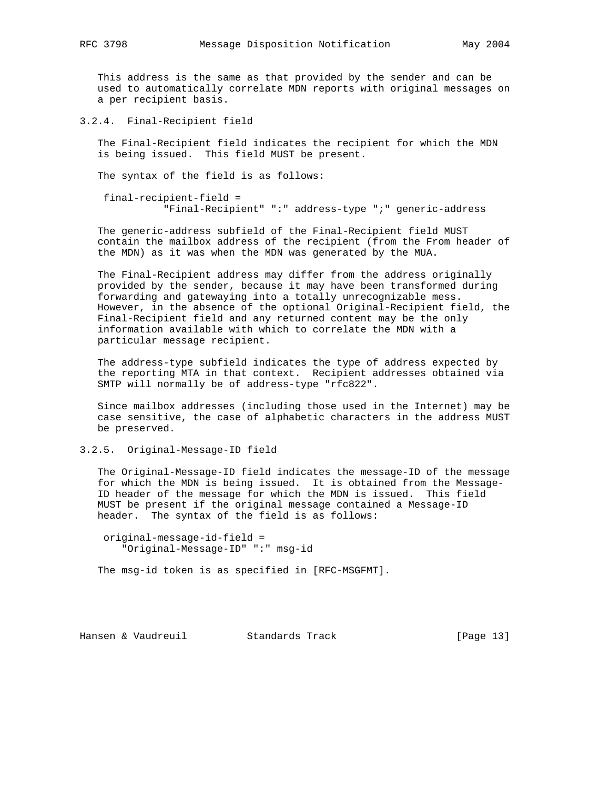This address is the same as that provided by the sender and can be used to automatically correlate MDN reports with original messages on a per recipient basis.

3.2.4. Final-Recipient field

 The Final-Recipient field indicates the recipient for which the MDN is being issued. This field MUST be present.

The syntax of the field is as follows:

 final-recipient-field = "Final-Recipient" ":" address-type ";" generic-address

 The generic-address subfield of the Final-Recipient field MUST contain the mailbox address of the recipient (from the From header of the MDN) as it was when the MDN was generated by the MUA.

 The Final-Recipient address may differ from the address originally provided by the sender, because it may have been transformed during forwarding and gatewaying into a totally unrecognizable mess. However, in the absence of the optional Original-Recipient field, the Final-Recipient field and any returned content may be the only information available with which to correlate the MDN with a particular message recipient.

 The address-type subfield indicates the type of address expected by the reporting MTA in that context. Recipient addresses obtained via SMTP will normally be of address-type "rfc822".

 Since mailbox addresses (including those used in the Internet) may be case sensitive, the case of alphabetic characters in the address MUST be preserved.

3.2.5. Original-Message-ID field

 The Original-Message-ID field indicates the message-ID of the message for which the MDN is being issued. It is obtained from the Message- ID header of the message for which the MDN is issued. This field MUST be present if the original message contained a Message-ID header. The syntax of the field is as follows:

 original-message-id-field = "Original-Message-ID" ":" msg-id

The msg-id token is as specified in [RFC-MSGFMT].

Hansen & Vaudreuil Standards Track [Page 13]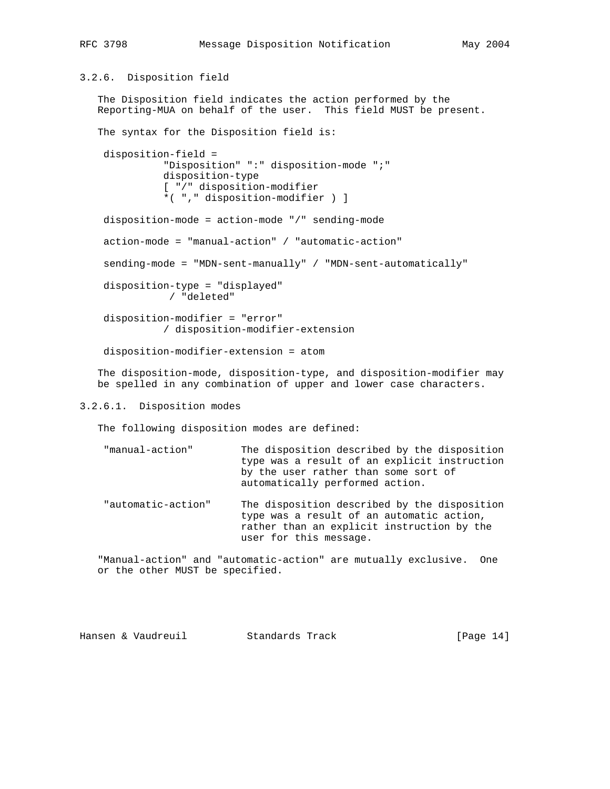# 3.2.6. Disposition field

 The Disposition field indicates the action performed by the Reporting-MUA on behalf of the user. This field MUST be present.

 The syntax for the Disposition field is: disposition-field = "Disposition" ":" disposition-mode ";" disposition-type [ "/" disposition-modifier \*( "," disposition-modifier ) ]

disposition-mode = action-mode "/" sending-mode

action-mode = "manual-action" / "automatic-action"

sending-mode = "MDN-sent-manually" / "MDN-sent-automatically"

 disposition-type = "displayed" / "deleted"

 disposition-modifier = "error" / disposition-modifier-extension

disposition-modifier-extension = atom

 The disposition-mode, disposition-type, and disposition-modifier may be spelled in any combination of upper and lower case characters.

## 3.2.6.1. Disposition modes

The following disposition modes are defined:

| "manual-action" | The disposition described by the disposition                            |
|-----------------|-------------------------------------------------------------------------|
|                 | type was a result of an explicit instruction                            |
|                 | by the user rather than some sort of<br>automatically performed action. |
|                 |                                                                         |

 "automatic-action" The disposition described by the disposition type was a result of an automatic action, rather than an explicit instruction by the user for this message.

 "Manual-action" and "automatic-action" are mutually exclusive. One or the other MUST be specified.

Hansen & Vaudreuil Standards Track [Page 14]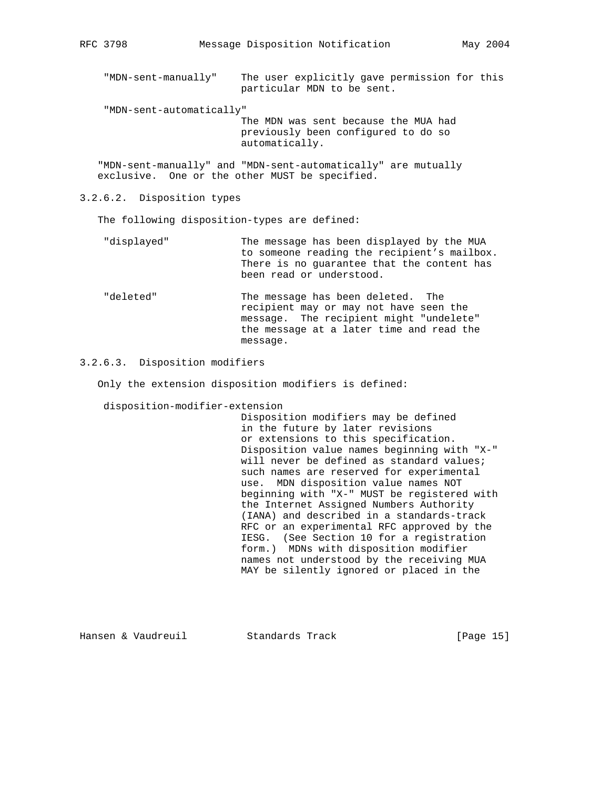"MDN-sent-manually" The user explicitly gave permission for this particular MDN to be sent.

"MDN-sent-automatically"

 The MDN was sent because the MUA had previously been configured to do so automatically.

 "MDN-sent-manually" and "MDN-sent-automatically" are mutually exclusive. One or the other MUST be specified.

3.2.6.2. Disposition types

The following disposition-types are defined:

- "displayed" The message has been displayed by the MUA to someone reading the recipient's mailbox. There is no guarantee that the content has been read or understood.
- "deleted" The message has been deleted. The recipient may or may not have seen the message. The recipient might "undelete" the message at a later time and read the message.

## 3.2.6.3. Disposition modifiers

Only the extension disposition modifiers is defined:

disposition-modifier-extension

 Disposition modifiers may be defined in the future by later revisions or extensions to this specification. Disposition value names beginning with "X-" will never be defined as standard values; such names are reserved for experimental use. MDN disposition value names NOT beginning with "X-" MUST be registered with the Internet Assigned Numbers Authority (IANA) and described in a standards-track RFC or an experimental RFC approved by the IESG. (See Section 10 for a registration form.) MDNs with disposition modifier names not understood by the receiving MUA MAY be silently ignored or placed in the

Hansen & Vaudreuil Standards Track [Page 15]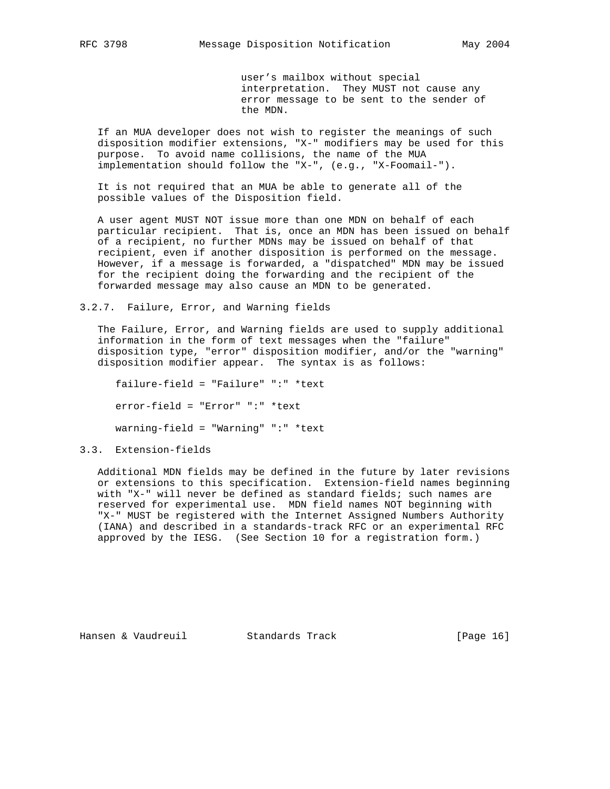user's mailbox without special interpretation. They MUST not cause any error message to be sent to the sender of the MDN.

 If an MUA developer does not wish to register the meanings of such disposition modifier extensions, "X-" modifiers may be used for this purpose. To avoid name collisions, the name of the MUA implementation should follow the "X-", (e.g., "X-Foomail-").

 It is not required that an MUA be able to generate all of the possible values of the Disposition field.

 A user agent MUST NOT issue more than one MDN on behalf of each particular recipient. That is, once an MDN has been issued on behalf of a recipient, no further MDNs may be issued on behalf of that recipient, even if another disposition is performed on the message. However, if a message is forwarded, a "dispatched" MDN may be issued for the recipient doing the forwarding and the recipient of the forwarded message may also cause an MDN to be generated.

## 3.2.7. Failure, Error, and Warning fields

 The Failure, Error, and Warning fields are used to supply additional information in the form of text messages when the "failure" disposition type, "error" disposition modifier, and/or the "warning" disposition modifier appear. The syntax is as follows:

 failure-field = "Failure" ":" \*text error-field = "Error" ":" \*text warning-field = "Warning" ":" \*text

# 3.3. Extension-fields

 Additional MDN fields may be defined in the future by later revisions or extensions to this specification. Extension-field names beginning with "X-" will never be defined as standard fields; such names are reserved for experimental use. MDN field names NOT beginning with "X-" MUST be registered with the Internet Assigned Numbers Authority (IANA) and described in a standards-track RFC or an experimental RFC approved by the IESG. (See Section 10 for a registration form.)

Hansen & Vaudreuil Standards Track [Page 16]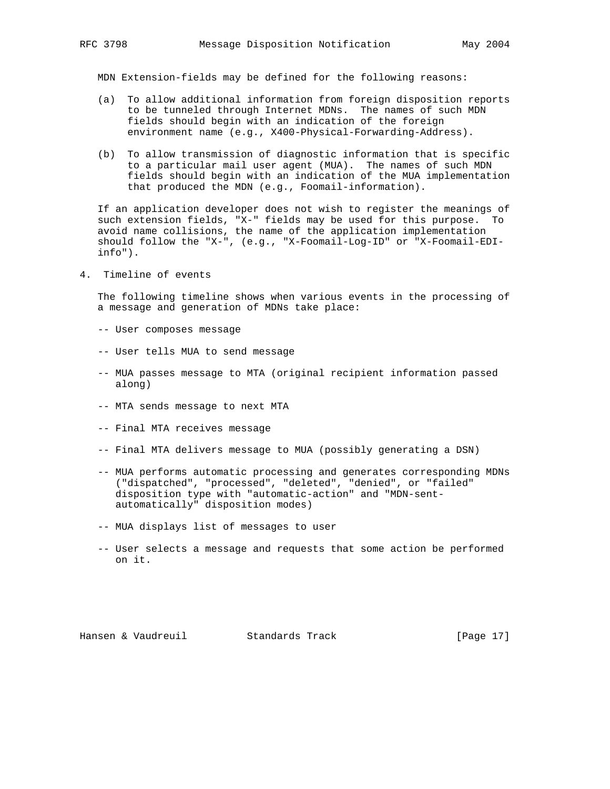MDN Extension-fields may be defined for the following reasons:

- (a) To allow additional information from foreign disposition reports to be tunneled through Internet MDNs. The names of such MDN fields should begin with an indication of the foreign environment name (e.g., X400-Physical-Forwarding-Address).
- (b) To allow transmission of diagnostic information that is specific to a particular mail user agent (MUA). The names of such MDN fields should begin with an indication of the MUA implementation that produced the MDN (e.g., Foomail-information).

 If an application developer does not wish to register the meanings of such extension fields, "X-" fields may be used for this purpose. To avoid name collisions, the name of the application implementation should follow the "X-", (e.g., "X-Foomail-Log-ID" or "X-Foomail-EDI info").

4. Timeline of events

 The following timeline shows when various events in the processing of a message and generation of MDNs take place:

- -- User composes message
- -- User tells MUA to send message
- -- MUA passes message to MTA (original recipient information passed along)
- -- MTA sends message to next MTA
- -- Final MTA receives message
- -- Final MTA delivers message to MUA (possibly generating a DSN)
- -- MUA performs automatic processing and generates corresponding MDNs ("dispatched", "processed", "deleted", "denied", or "failed" disposition type with "automatic-action" and "MDN-sent automatically" disposition modes)
- -- MUA displays list of messages to user
- -- User selects a message and requests that some action be performed on it.

Hansen & Vaudreuil Standards Track [Page 17]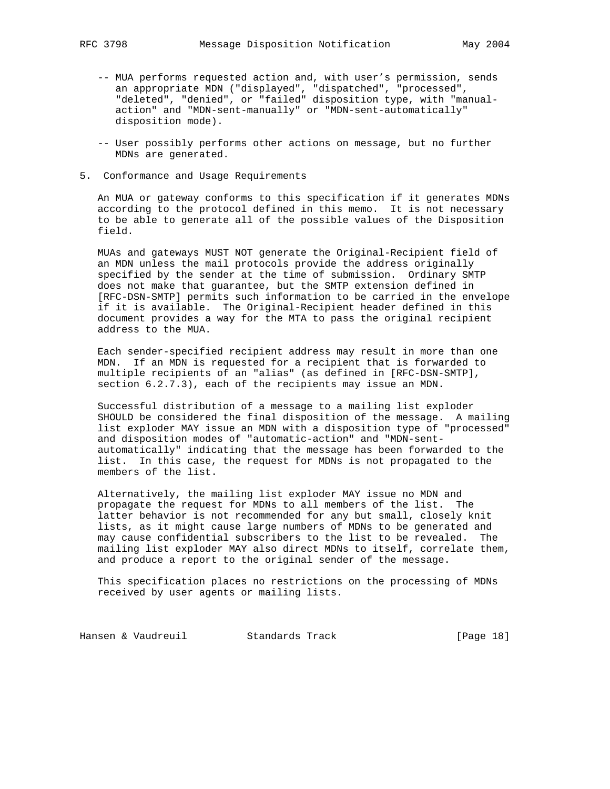- -- MUA performs requested action and, with user's permission, sends an appropriate MDN ("displayed", "dispatched", "processed", "deleted", "denied", or "failed" disposition type, with "manual action" and "MDN-sent-manually" or "MDN-sent-automatically" disposition mode).
- -- User possibly performs other actions on message, but no further MDNs are generated.
- 5. Conformance and Usage Requirements

 An MUA or gateway conforms to this specification if it generates MDNs according to the protocol defined in this memo. It is not necessary to be able to generate all of the possible values of the Disposition field.

 MUAs and gateways MUST NOT generate the Original-Recipient field of an MDN unless the mail protocols provide the address originally specified by the sender at the time of submission. Ordinary SMTP does not make that guarantee, but the SMTP extension defined in [RFC-DSN-SMTP] permits such information to be carried in the envelope if it is available. The Original-Recipient header defined in this document provides a way for the MTA to pass the original recipient address to the MUA.

 Each sender-specified recipient address may result in more than one MDN. If an MDN is requested for a recipient that is forwarded to multiple recipients of an "alias" (as defined in [RFC-DSN-SMTP], section  $6.2.7.3$ ), each of the recipients may issue an MDN.

 Successful distribution of a message to a mailing list exploder SHOULD be considered the final disposition of the message. A mailing list exploder MAY issue an MDN with a disposition type of "processed" and disposition modes of "automatic-action" and "MDN-sent automatically" indicating that the message has been forwarded to the list. In this case, the request for MDNs is not propagated to the members of the list.

 Alternatively, the mailing list exploder MAY issue no MDN and propagate the request for MDNs to all members of the list. The latter behavior is not recommended for any but small, closely knit lists, as it might cause large numbers of MDNs to be generated and may cause confidential subscribers to the list to be revealed. The mailing list exploder MAY also direct MDNs to itself, correlate them, and produce a report to the original sender of the message.

 This specification places no restrictions on the processing of MDNs received by user agents or mailing lists.

Hansen & Vaudreuil **Standards Track** [Page 18]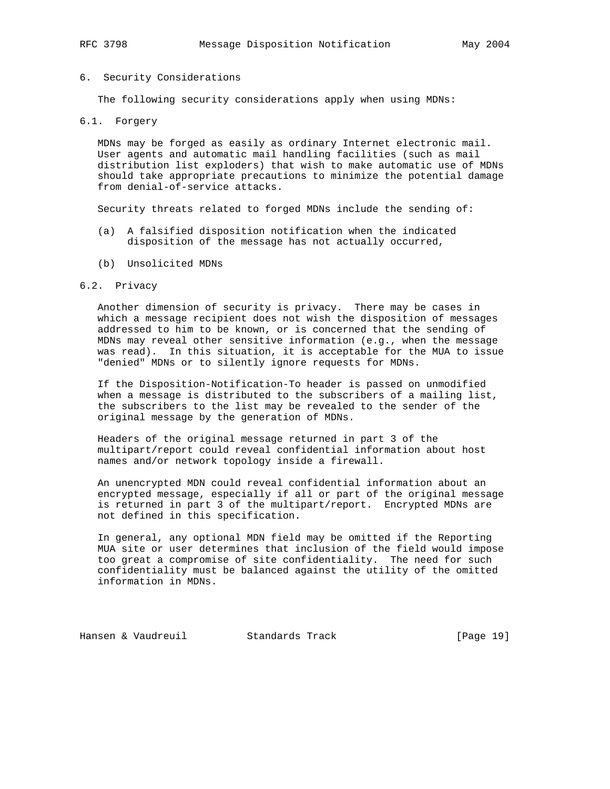#### 6. Security Considerations

The following security considerations apply when using MDNs:

### 6.1. Forgery

 MDNs may be forged as easily as ordinary Internet electronic mail. User agents and automatic mail handling facilities (such as mail distribution list exploders) that wish to make automatic use of MDNs should take appropriate precautions to minimize the potential damage from denial-of-service attacks.

Security threats related to forged MDNs include the sending of:

- (a) A falsified disposition notification when the indicated disposition of the message has not actually occurred,
- (b) Unsolicited MDNs

#### 6.2. Privacy

 Another dimension of security is privacy. There may be cases in which a message recipient does not wish the disposition of messages addressed to him to be known, or is concerned that the sending of MDNs may reveal other sensitive information (e.g., when the message was read). In this situation, it is acceptable for the MUA to issue "denied" MDNs or to silently ignore requests for MDNs.

 If the Disposition-Notification-To header is passed on unmodified when a message is distributed to the subscribers of a mailing list, the subscribers to the list may be revealed to the sender of the original message by the generation of MDNs.

 Headers of the original message returned in part 3 of the multipart/report could reveal confidential information about host names and/or network topology inside a firewall.

 An unencrypted MDN could reveal confidential information about an encrypted message, especially if all or part of the original message is returned in part 3 of the multipart/report. Encrypted MDNs are not defined in this specification.

 In general, any optional MDN field may be omitted if the Reporting MUA site or user determines that inclusion of the field would impose too great a compromise of site confidentiality. The need for such confidentiality must be balanced against the utility of the omitted information in MDNs.

Hansen & Vaudreuil Standards Track [Page 19]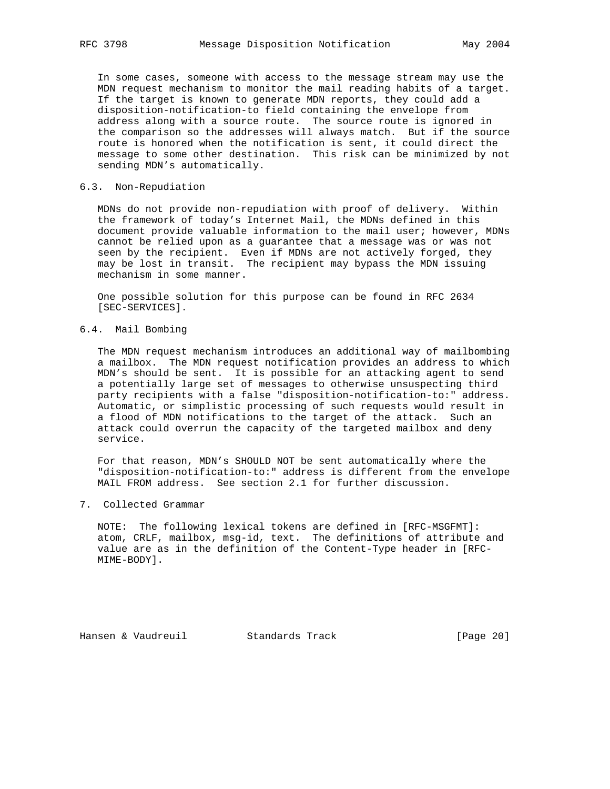In some cases, someone with access to the message stream may use the MDN request mechanism to monitor the mail reading habits of a target. If the target is known to generate MDN reports, they could add a disposition-notification-to field containing the envelope from address along with a source route. The source route is ignored in the comparison so the addresses will always match. But if the source route is honored when the notification is sent, it could direct the message to some other destination. This risk can be minimized by not sending MDN's automatically.

## 6.3. Non-Repudiation

 MDNs do not provide non-repudiation with proof of delivery. Within the framework of today's Internet Mail, the MDNs defined in this document provide valuable information to the mail user; however, MDNs cannot be relied upon as a guarantee that a message was or was not seen by the recipient. Even if MDNs are not actively forged, they may be lost in transit. The recipient may bypass the MDN issuing mechanism in some manner.

 One possible solution for this purpose can be found in RFC 2634 [SEC-SERVICES].

# 6.4. Mail Bombing

 The MDN request mechanism introduces an additional way of mailbombing a mailbox. The MDN request notification provides an address to which MDN's should be sent. It is possible for an attacking agent to send a potentially large set of messages to otherwise unsuspecting third party recipients with a false "disposition-notification-to:" address. Automatic, or simplistic processing of such requests would result in a flood of MDN notifications to the target of the attack. Such an attack could overrun the capacity of the targeted mailbox and deny service.

 For that reason, MDN's SHOULD NOT be sent automatically where the "disposition-notification-to:" address is different from the envelope MAIL FROM address. See section 2.1 for further discussion.

7. Collected Grammar

 NOTE: The following lexical tokens are defined in [RFC-MSGFMT]: atom, CRLF, mailbox, msg-id, text. The definitions of attribute and value are as in the definition of the Content-Type header in [RFC- MIME-BODY].

Hansen & Vaudreuil Standards Track [Page 20]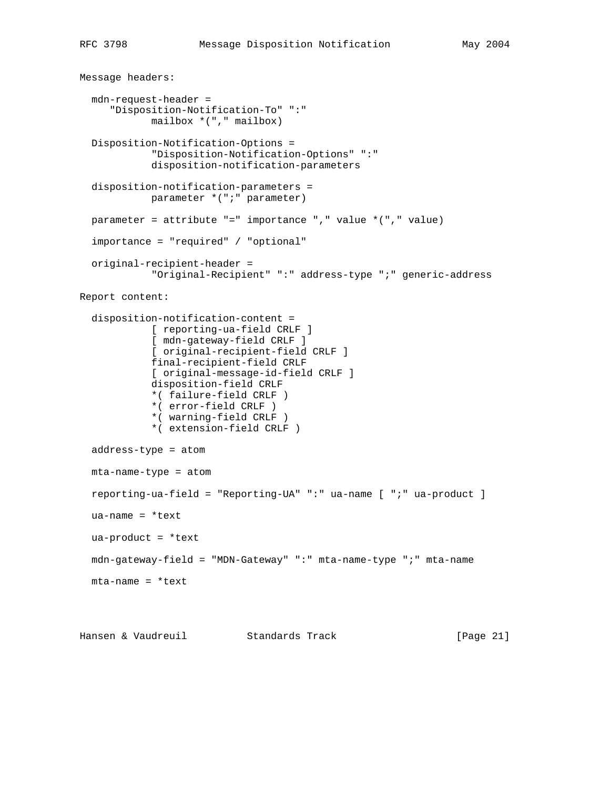```
Message headers:
   mdn-request-header =
      "Disposition-Notification-To" ":"
             mailbox *("," mailbox)
   Disposition-Notification-Options =
             "Disposition-Notification-Options" ":"
             disposition-notification-parameters
   disposition-notification-parameters =
            parameter *(";" parameter)
   parameter = attribute "=" importance "," value *("," value)
   importance = "required" / "optional"
   original-recipient-header =
             "Original-Recipient" ":" address-type ";" generic-address
Report content:
   disposition-notification-content =
             [ reporting-ua-field CRLF ]
             [ mdn-gateway-field CRLF ]
             [ original-recipient-field CRLF ]
             final-recipient-field CRLF
             [ original-message-id-field CRLF ]
             disposition-field CRLF
             *( failure-field CRLF )
             *( error-field CRLF )
             *( warning-field CRLF )
             *( extension-field CRLF )
   address-type = atom
   mta-name-type = atom
   reporting-ua-field = "Reporting-UA" ":" ua-name [ ";" ua-product ]
   ua-name = *text
  ua-product = *text mdn-gateway-field = "MDN-Gateway" ":" mta-name-type ";" mta-name
   mta-name = *text
Hansen & Vaudreuil Standards Track [Page 21]
```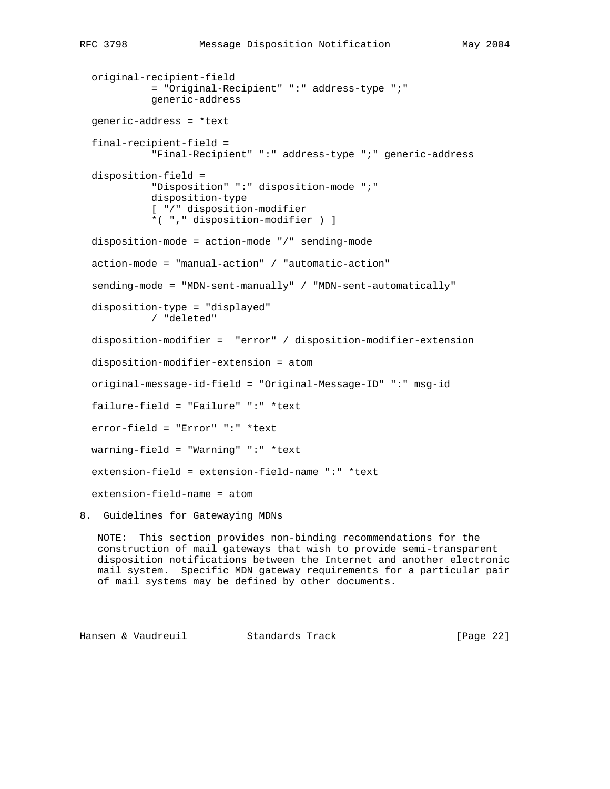```
 original-recipient-field
           = "Original-Recipient" ":" address-type ";"
           generic-address
 generic-address = *text
 final-recipient-field =
           "Final-Recipient" ":" address-type ";" generic-address
 disposition-field =
           "Disposition" ":" disposition-mode ";"
           disposition-type
           [ "/" disposition-modifier
           *( "," disposition-modifier ) ]
 disposition-mode = action-mode "/" sending-mode
 action-mode = "manual-action" / "automatic-action"
 sending-mode = "MDN-sent-manually" / "MDN-sent-automatically"
 disposition-type = "displayed"
           / "deleted"
 disposition-modifier = "error" / disposition-modifier-extension
 disposition-modifier-extension = atom
 original-message-id-field = "Original-Message-ID" ":" msg-id
 failure-field = "Failure" ":" *text
 error-field = "Error" ":" *text
 warning-field = "Warning" ":" *text
 extension-field = extension-field-name ":" *text
 extension-field-name = atom
```
8. Guidelines for Gatewaying MDNs

 NOTE: This section provides non-binding recommendations for the construction of mail gateways that wish to provide semi-transparent disposition notifications between the Internet and another electronic mail system. Specific MDN gateway requirements for a particular pair of mail systems may be defined by other documents.

Hansen & Vaudreuil Standards Track [Page 22]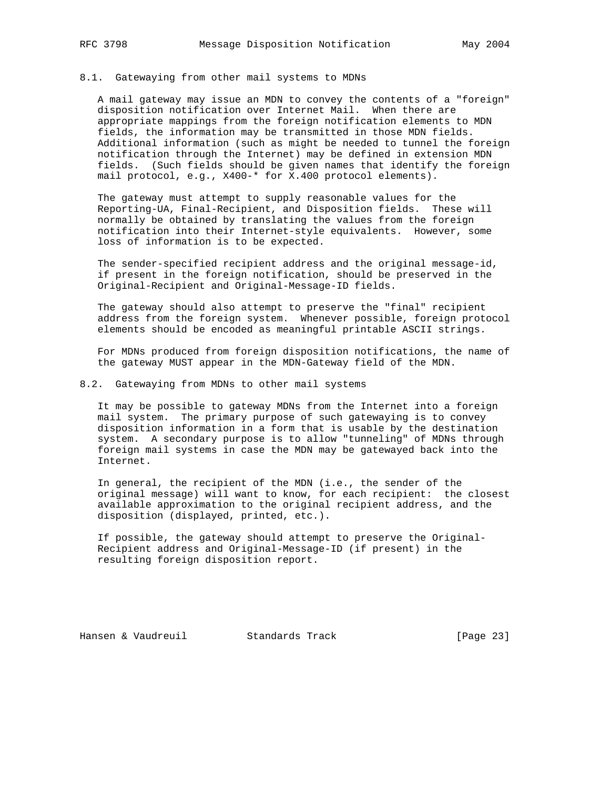#### 8.1. Gatewaying from other mail systems to MDNs

 A mail gateway may issue an MDN to convey the contents of a "foreign" disposition notification over Internet Mail. When there are appropriate mappings from the foreign notification elements to MDN fields, the information may be transmitted in those MDN fields. Additional information (such as might be needed to tunnel the foreign notification through the Internet) may be defined in extension MDN fields. (Such fields should be given names that identify the foreign mail protocol, e.g., X400-\* for X.400 protocol elements).

 The gateway must attempt to supply reasonable values for the Reporting-UA, Final-Recipient, and Disposition fields. These will normally be obtained by translating the values from the foreign notification into their Internet-style equivalents. However, some loss of information is to be expected.

 The sender-specified recipient address and the original message-id, if present in the foreign notification, should be preserved in the Original-Recipient and Original-Message-ID fields.

 The gateway should also attempt to preserve the "final" recipient address from the foreign system. Whenever possible, foreign protocol elements should be encoded as meaningful printable ASCII strings.

 For MDNs produced from foreign disposition notifications, the name of the gateway MUST appear in the MDN-Gateway field of the MDN.

8.2. Gatewaying from MDNs to other mail systems

 It may be possible to gateway MDNs from the Internet into a foreign mail system. The primary purpose of such gatewaying is to convey disposition information in a form that is usable by the destination system. A secondary purpose is to allow "tunneling" of MDNs through foreign mail systems in case the MDN may be gatewayed back into the Internet.

 In general, the recipient of the MDN (i.e., the sender of the original message) will want to know, for each recipient: the closest available approximation to the original recipient address, and the disposition (displayed, printed, etc.).

 If possible, the gateway should attempt to preserve the Original- Recipient address and Original-Message-ID (if present) in the resulting foreign disposition report.

Hansen & Vaudreuil **Standards Track** [Page 23]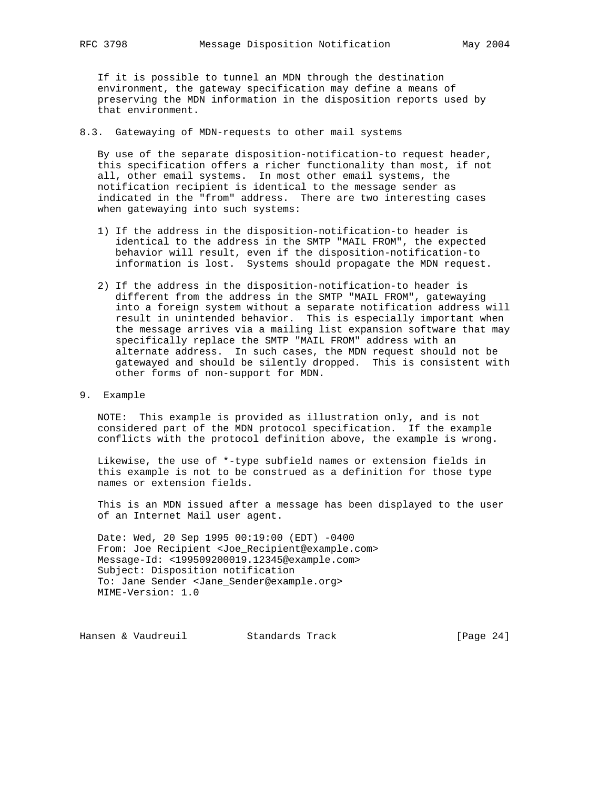If it is possible to tunnel an MDN through the destination environment, the gateway specification may define a means of preserving the MDN information in the disposition reports used by that environment.

8.3. Gatewaying of MDN-requests to other mail systems

 By use of the separate disposition-notification-to request header, this specification offers a richer functionality than most, if not all, other email systems. In most other email systems, the notification recipient is identical to the message sender as indicated in the "from" address. There are two interesting cases when gatewaying into such systems:

- 1) If the address in the disposition-notification-to header is identical to the address in the SMTP "MAIL FROM", the expected behavior will result, even if the disposition-notification-to information is lost. Systems should propagate the MDN request.
- 2) If the address in the disposition-notification-to header is different from the address in the SMTP "MAIL FROM", gatewaying into a foreign system without a separate notification address will result in unintended behavior. This is especially important when the message arrives via a mailing list expansion software that may specifically replace the SMTP "MAIL FROM" address with an alternate address. In such cases, the MDN request should not be gatewayed and should be silently dropped. This is consistent with other forms of non-support for MDN.
- 9. Example

 NOTE: This example is provided as illustration only, and is not considered part of the MDN protocol specification. If the example conflicts with the protocol definition above, the example is wrong.

 Likewise, the use of \*-type subfield names or extension fields in this example is not to be construed as a definition for those type names or extension fields.

 This is an MDN issued after a message has been displayed to the user of an Internet Mail user agent.

 Date: Wed, 20 Sep 1995 00:19:00 (EDT) -0400 From: Joe Recipient <Joe\_Recipient@example.com> Message-Id: <199509200019.12345@example.com> Subject: Disposition notification To: Jane Sender <Jane\_Sender@example.org> MIME-Version: 1.0

Hansen & Vaudreuil Standards Track [Page 24]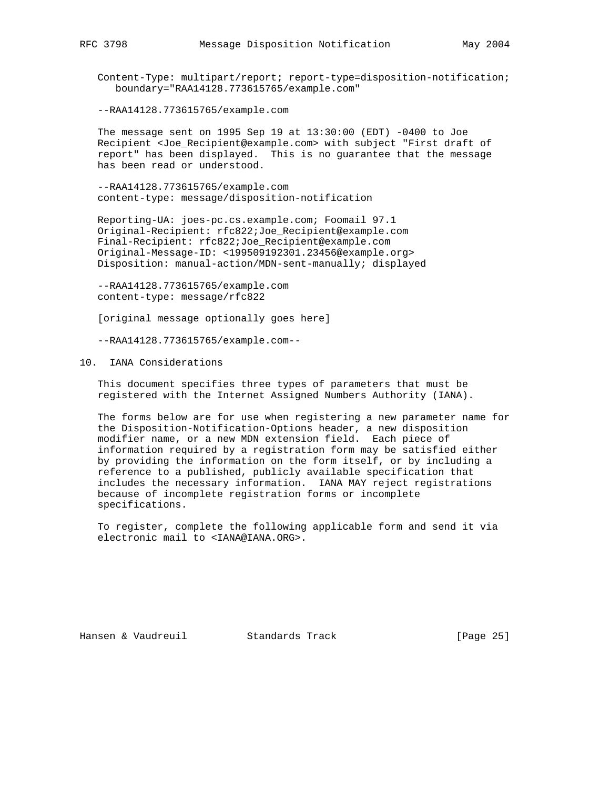Content-Type: multipart/report; report-type=disposition-notification; boundary="RAA14128.773615765/example.com"

--RAA14128.773615765/example.com

 The message sent on 1995 Sep 19 at 13:30:00 (EDT) -0400 to Joe Recipient <Joe\_Recipient@example.com> with subject "First draft of report" has been displayed. This is no guarantee that the message has been read or understood.

 --RAA14128.773615765/example.com content-type: message/disposition-notification

 Reporting-UA: joes-pc.cs.example.com; Foomail 97.1 Original-Recipient: rfc822;Joe\_Recipient@example.com Final-Recipient: rfc822;Joe\_Recipient@example.com Original-Message-ID: <199509192301.23456@example.org> Disposition: manual-action/MDN-sent-manually; displayed

 --RAA14128.773615765/example.com content-type: message/rfc822

[original message optionally goes here]

--RAA14128.773615765/example.com--

# 10. IANA Considerations

 This document specifies three types of parameters that must be registered with the Internet Assigned Numbers Authority (IANA).

 The forms below are for use when registering a new parameter name for the Disposition-Notification-Options header, a new disposition modifier name, or a new MDN extension field. Each piece of information required by a registration form may be satisfied either by providing the information on the form itself, or by including a reference to a published, publicly available specification that includes the necessary information. IANA MAY reject registrations because of incomplete registration forms or incomplete specifications.

 To register, complete the following applicable form and send it via electronic mail to <IANA@IANA.ORG>.

Hansen & Vaudreuil Standards Track [Page 25]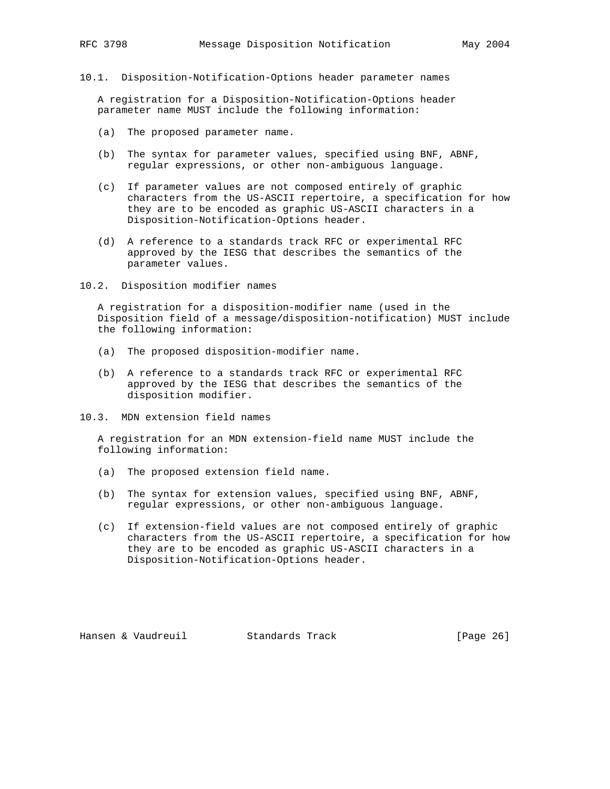10.1. Disposition-Notification-Options header parameter names

 A registration for a Disposition-Notification-Options header parameter name MUST include the following information:

- (a) The proposed parameter name.
- (b) The syntax for parameter values, specified using BNF, ABNF, regular expressions, or other non-ambiguous language.
- (c) If parameter values are not composed entirely of graphic characters from the US-ASCII repertoire, a specification for how they are to be encoded as graphic US-ASCII characters in a Disposition-Notification-Options header.
- (d) A reference to a standards track RFC or experimental RFC approved by the IESG that describes the semantics of the parameter values.
- 10.2. Disposition modifier names

 A registration for a disposition-modifier name (used in the Disposition field of a message/disposition-notification) MUST include the following information:

- (a) The proposed disposition-modifier name.
- (b) A reference to a standards track RFC or experimental RFC approved by the IESG that describes the semantics of the disposition modifier.
- 10.3. MDN extension field names

 A registration for an MDN extension-field name MUST include the following information:

- (a) The proposed extension field name.
- (b) The syntax for extension values, specified using BNF, ABNF, regular expressions, or other non-ambiguous language.
- (c) If extension-field values are not composed entirely of graphic characters from the US-ASCII repertoire, a specification for how they are to be encoded as graphic US-ASCII characters in a Disposition-Notification-Options header.

Hansen & Vaudreuil Standards Track [Page 26]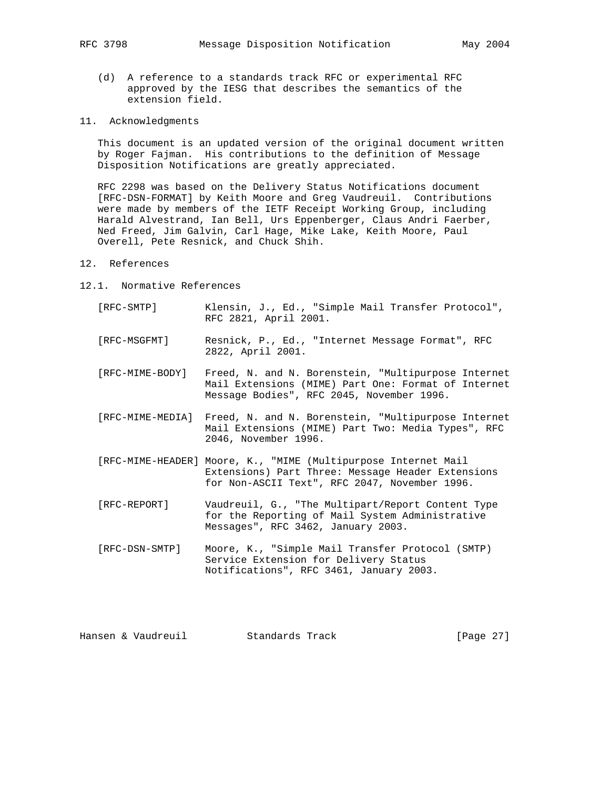- (d) A reference to a standards track RFC or experimental RFC approved by the IESG that describes the semantics of the extension field.
- 11. Acknowledgments

 This document is an updated version of the original document written by Roger Fajman. His contributions to the definition of Message Disposition Notifications are greatly appreciated.

 RFC 2298 was based on the Delivery Status Notifications document [RFC-DSN-FORMAT] by Keith Moore and Greg Vaudreuil. Contributions were made by members of the IETF Receipt Working Group, including Harald Alvestrand, Ian Bell, Urs Eppenberger, Claus Andri Faerber, Ned Freed, Jim Galvin, Carl Hage, Mike Lake, Keith Moore, Paul Overell, Pete Resnick, and Chuck Shih.

- 12. References
- 12.1. Normative References
	- [RFC-SMTP] Klensin, J., Ed., "Simple Mail Transfer Protocol", RFC 2821, April 2001.
	- [RFC-MSGFMT] Resnick, P., Ed., "Internet Message Format", RFC 2822, April 2001.
	- [RFC-MIME-BODY] Freed, N. and N. Borenstein, "Multipurpose Internet Mail Extensions (MIME) Part One: Format of Internet Message Bodies", RFC 2045, November 1996.
	- [RFC-MIME-MEDIA] Freed, N. and N. Borenstein, "Multipurpose Internet Mail Extensions (MIME) Part Two: Media Types", RFC 2046, November 1996.
	- [RFC-MIME-HEADER] Moore, K., "MIME (Multipurpose Internet Mail Extensions) Part Three: Message Header Extensions for Non-ASCII Text", RFC 2047, November 1996.
	- [RFC-REPORT] Vaudreuil, G., "The Multipart/Report Content Type for the Reporting of Mail System Administrative Messages", RFC 3462, January 2003.
	- [RFC-DSN-SMTP] Moore, K., "Simple Mail Transfer Protocol (SMTP) Service Extension for Delivery Status Notifications", RFC 3461, January 2003.

|  | Hansen & Vaudreuil | Standards Track | [Page 27] |  |
|--|--------------------|-----------------|-----------|--|
|  |                    |                 |           |  |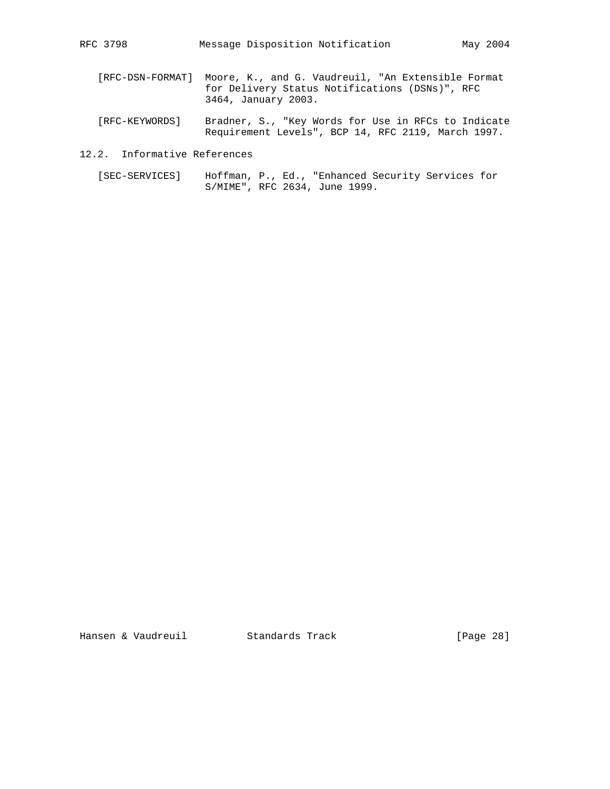- [RFC-DSN-FORMAT] Moore, K., and G. Vaudreuil, "An Extensible Format for Delivery Status Notifications (DSNs)", RFC 3464, January 2003.
- [RFC-KEYWORDS] Bradner, S., "Key Words for Use in RFCs to Indicate Requirement Levels", BCP 14, RFC 2119, March 1997.
- 12.2. Informative References
- [SEC-SERVICES] Hoffman, P., Ed., "Enhanced Security Services for S/MIME", RFC 2634, June 1999.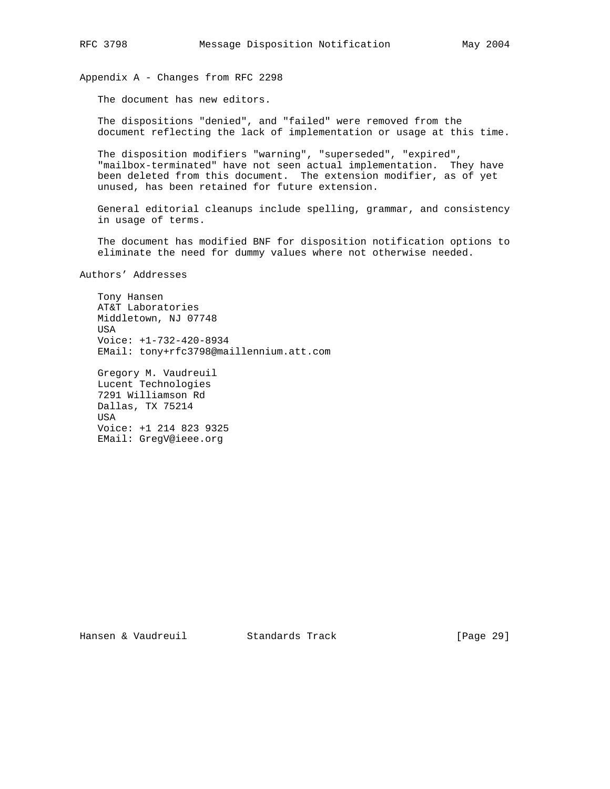Appendix A - Changes from RFC 2298

The document has new editors.

 The dispositions "denied", and "failed" were removed from the document reflecting the lack of implementation or usage at this time.

 The disposition modifiers "warning", "superseded", "expired", "mailbox-terminated" have not seen actual implementation. They have been deleted from this document. The extension modifier, as of yet unused, has been retained for future extension.

 General editorial cleanups include spelling, grammar, and consistency in usage of terms.

 The document has modified BNF for disposition notification options to eliminate the need for dummy values where not otherwise needed.

Authors' Addresses

 Tony Hansen AT&T Laboratories Middletown, NJ 07748 USA Voice: +1-732-420-8934 EMail: tony+rfc3798@maillennium.att.com

 Gregory M. Vaudreuil Lucent Technologies 7291 Williamson Rd Dallas, TX 75214 USA Voice: +1 214 823 9325 EMail: GregV@ieee.org